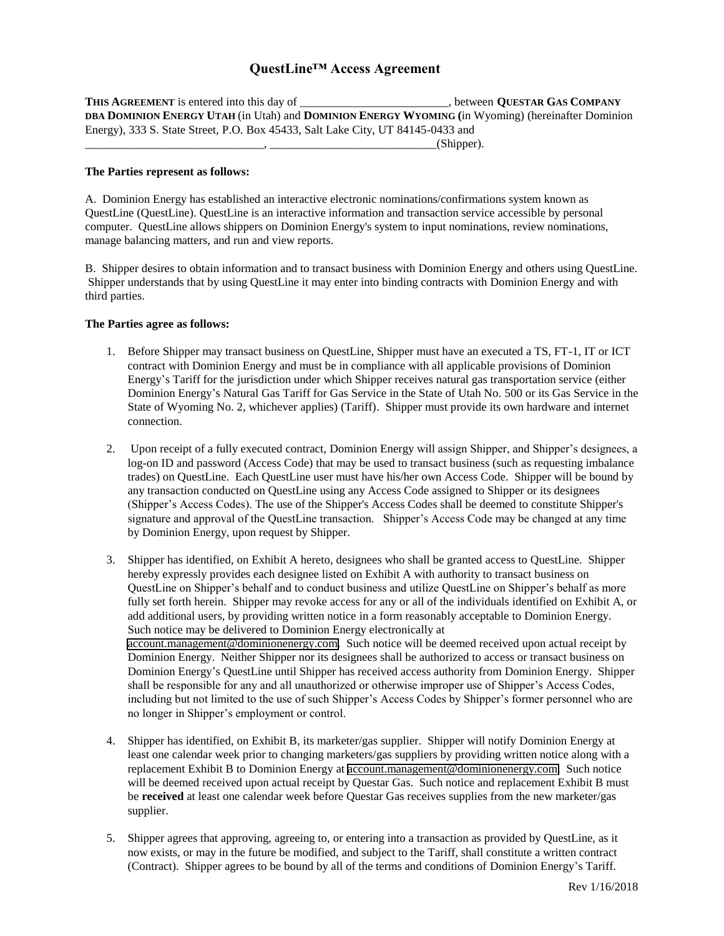## **QuestLine™ Access Agreement**

**THIS AGREEMENT** is entered into this day of \_\_\_\_\_\_\_\_\_\_\_\_\_\_\_\_\_\_, between **QUESTAR GAS COMPANY DBA DOMINION ENERGY UTAH** (in Utah) and **DOMINION ENERGY WYOMING (**in Wyoming) (hereinafter Dominion Energy), 333 S. State Street, P.O. Box 45433, Salt Lake City, UT 84145-0433 and  $(Shipper).$ 

### **The Parties represent as follows:**

A. Dominion Energy has established an interactive electronic nominations/confirmations system known as QuestLine (QuestLine). QuestLine is an interactive information and transaction service accessible by personal computer. QuestLine allows shippers on Dominion Energy's system to input nominations, review nominations, manage balancing matters, and run and view reports.

B. Shipper desires to obtain information and to transact business with Dominion Energy and others using QuestLine. Shipper understands that by using QuestLine it may enter into binding contracts with Dominion Energy and with third parties.

### **The Parties agree as follows:**

- 1. Before Shipper may transact business on QuestLine, Shipper must have an executed a TS, FT-1, IT or ICT contract with Dominion Energy and must be in compliance with all applicable provisions of Dominion Energy's Tariff for the jurisdiction under which Shipper receives natural gas transportation service (either Dominion Energy's Natural Gas Tariff for Gas Service in the State of Utah No. 500 or its Gas Service in the State of Wyoming No. 2, whichever applies) (Tariff). Shipper must provide its own hardware and internet connection.
- 2. Upon receipt of a fully executed contract, Dominion Energy will assign Shipper, and Shipper's designees, a log-on ID and password (Access Code) that may be used to transact business (such as requesting imbalance trades) on QuestLine. Each QuestLine user must have his/her own Access Code. Shipper will be bound by any transaction conducted on QuestLine using any Access Code assigned to Shipper or its designees (Shipper's Access Codes). The use of the Shipper's Access Codes shall be deemed to constitute Shipper's signature and approval of the QuestLine transaction. Shipper's Access Code may be changed at any time by Dominion Energy, upon request by Shipper.
- 3. Shipper has identified, on Exhibit A hereto, designees who shall be granted access to QuestLine. Shipper hereby expressly provides each designee listed on Exhibit A with authority to transact business on QuestLine on Shipper's behalf and to conduct business and utilize QuestLine on Shipper's behalf as more fully set forth herein. Shipper may revoke access for any or all of the individuals identified on Exhibit A, or add additional users, by providing written notice in a form reasonably acceptable to Dominion Energy. Such notice may be delivered to Dominion Energy electronically at [account.management@dominionenergy.com.](mailto:account.management@dominionenergy.com) Such notice will be deemed received upon actual receipt by Dominion Energy. Neither Shipper nor its designees shall be authorized to access or transact business on Dominion Energy's QuestLine until Shipper has received access authority from Dominion Energy. Shipper shall be responsible for any and all unauthorized or otherwise improper use of Shipper's Access Codes, including but not limited to the use of such Shipper's Access Codes by Shipper's former personnel who are no longer in Shipper's employment or control.
- 4. Shipper has identified, on Exhibit B, its marketer/gas supplier. Shipper will notify Dominion Energy at least one calendar week prior to changing marketers/gas suppliers by providing written notice along with a replacement Exhibit B to Dominion Energy at [account.management@dominionenergy.com.](mailto:account.management@dominionenergy.com) Such notice will be deemed received upon actual receipt by Questar Gas. Such notice and replacement Exhibit B must be **received** at least one calendar week before Questar Gas receives supplies from the new marketer/gas supplier.
- 5. Shipper agrees that approving, agreeing to, or entering into a transaction as provided by QuestLine, as it now exists, or may in the future be modified, and subject to the Tariff, shall constitute a written contract (Contract). Shipper agrees to be bound by all of the terms and conditions of Dominion Energy's Tariff.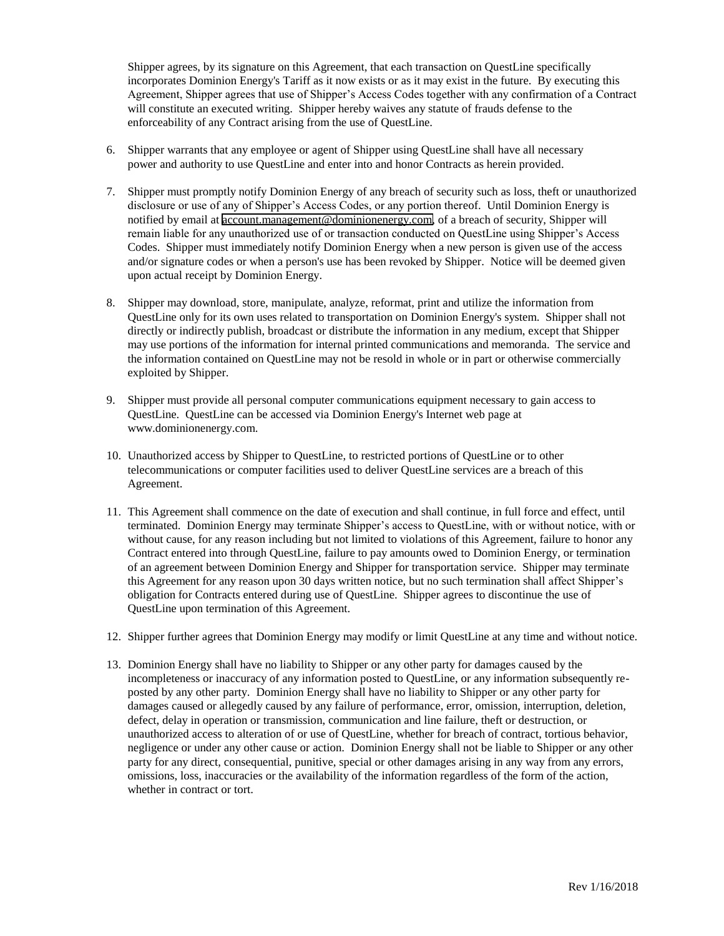Shipper agrees, by its signature on this Agreement, that each transaction on QuestLine specifically incorporates Dominion Energy's Tariff as it now exists or as it may exist in the future. By executing this Agreement, Shipper agrees that use of Shipper's Access Codes together with any confirmation of a Contract will constitute an executed writing. Shipper hereby waives any statute of frauds defense to the enforceability of any Contract arising from the use of QuestLine.

- 6. Shipper warrants that any employee or agent of Shipper using QuestLine shall have all necessary power and authority to use QuestLine and enter into and honor Contracts as herein provided.
- 7. Shipper must promptly notify Dominion Energy of any breach of security such as loss, theft or unauthorized disclosure or use of any of Shipper's Access Codes, or any portion thereof. Until Dominion Energy is notified by email at [account.management@dominionenergy.com,](mailto:account.management@dominionenergy.com) of a breach of security, Shipper will remain liable for any unauthorized use of or transaction conducted on QuestLine using Shipper's Access Codes. Shipper must immediately notify Dominion Energy when a new person is given use of the access and/or signature codes or when a person's use has been revoked by Shipper. Notice will be deemed given upon actual receipt by Dominion Energy.
- 8. Shipper may download, store, manipulate, analyze, reformat, print and utilize the information from QuestLine only for its own uses related to transportation on Dominion Energy's system. Shipper shall not directly or indirectly publish, broadcast or distribute the information in any medium, except that Shipper may use portions of the information for internal printed communications and memoranda. The service and the information contained on QuestLine may not be resold in whole or in part or otherwise commercially exploited by Shipper.
- 9. Shipper must provide all personal computer communications equipment necessary to gain access to QuestLine. QuestLine can be accessed via Dominion Energy's Internet web page at www.dominionenergy.com.
- 10. Unauthorized access by Shipper to QuestLine, to restricted portions of QuestLine or to other telecommunications or computer facilities used to deliver QuestLine services are a breach of this Agreement.
- 11. This Agreement shall commence on the date of execution and shall continue, in full force and effect, until terminated. Dominion Energy may terminate Shipper's access to QuestLine, with or without notice, with or without cause, for any reason including but not limited to violations of this Agreement, failure to honor any Contract entered into through QuestLine, failure to pay amounts owed to Dominion Energy, or termination of an agreement between Dominion Energy and Shipper for transportation service. Shipper may terminate this Agreement for any reason upon 30 days written notice, but no such termination shall affect Shipper's obligation for Contracts entered during use of QuestLine. Shipper agrees to discontinue the use of QuestLine upon termination of this Agreement.
- 12. Shipper further agrees that Dominion Energy may modify or limit QuestLine at any time and without notice.
- 13. Dominion Energy shall have no liability to Shipper or any other party for damages caused by the incompleteness or inaccuracy of any information posted to QuestLine, or any information subsequently reposted by any other party. Dominion Energy shall have no liability to Shipper or any other party for damages caused or allegedly caused by any failure of performance, error, omission, interruption, deletion, defect, delay in operation or transmission, communication and line failure, theft or destruction, or unauthorized access to alteration of or use of QuestLine, whether for breach of contract, tortious behavior, negligence or under any other cause or action. Dominion Energy shall not be liable to Shipper or any other party for any direct, consequential, punitive, special or other damages arising in any way from any errors, omissions, loss, inaccuracies or the availability of the information regardless of the form of the action, whether in contract or tort.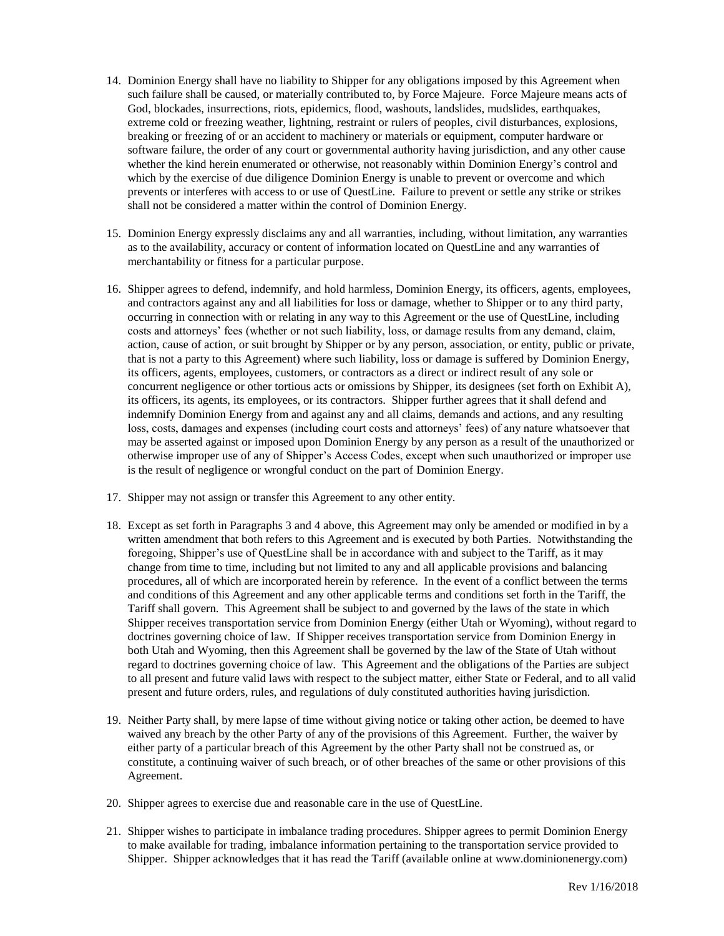- 14. Dominion Energy shall have no liability to Shipper for any obligations imposed by this Agreement when such failure shall be caused, or materially contributed to, by Force Majeure. Force Majeure means acts of God, blockades, insurrections, riots, epidemics, flood, washouts, landslides, mudslides, earthquakes, extreme cold or freezing weather, lightning, restraint or rulers of peoples, civil disturbances, explosions, breaking or freezing of or an accident to machinery or materials or equipment, computer hardware or software failure, the order of any court or governmental authority having jurisdiction, and any other cause whether the kind herein enumerated or otherwise, not reasonably within Dominion Energy's control and which by the exercise of due diligence Dominion Energy is unable to prevent or overcome and which prevents or interferes with access to or use of QuestLine. Failure to prevent or settle any strike or strikes shall not be considered a matter within the control of Dominion Energy.
- 15. Dominion Energy expressly disclaims any and all warranties, including, without limitation, any warranties as to the availability, accuracy or content of information located on QuestLine and any warranties of merchantability or fitness for a particular purpose.
- 16. Shipper agrees to defend, indemnify, and hold harmless, Dominion Energy, its officers, agents, employees, and contractors against any and all liabilities for loss or damage, whether to Shipper or to any third party, occurring in connection with or relating in any way to this Agreement or the use of QuestLine, including costs and attorneys' fees (whether or not such liability, loss, or damage results from any demand, claim, action, cause of action, or suit brought by Shipper or by any person, association, or entity, public or private, that is not a party to this Agreement) where such liability, loss or damage is suffered by Dominion Energy, its officers, agents, employees, customers, or contractors as a direct or indirect result of any sole or concurrent negligence or other tortious acts or omissions by Shipper, its designees (set forth on Exhibit A), its officers, its agents, its employees, or its contractors. Shipper further agrees that it shall defend and indemnify Dominion Energy from and against any and all claims, demands and actions, and any resulting loss, costs, damages and expenses (including court costs and attorneys' fees) of any nature whatsoever that may be asserted against or imposed upon Dominion Energy by any person as a result of the unauthorized or otherwise improper use of any of Shipper's Access Codes, except when such unauthorized or improper use is the result of negligence or wrongful conduct on the part of Dominion Energy.
- 17. Shipper may not assign or transfer this Agreement to any other entity.
- 18. Except as set forth in Paragraphs 3 and 4 above, this Agreement may only be amended or modified in by a written amendment that both refers to this Agreement and is executed by both Parties. Notwithstanding the foregoing, Shipper's use of QuestLine shall be in accordance with and subject to the Tariff, as it may change from time to time, including but not limited to any and all applicable provisions and balancing procedures, all of which are incorporated herein by reference. In the event of a conflict between the terms and conditions of this Agreement and any other applicable terms and conditions set forth in the Tariff, the Tariff shall govern. This Agreement shall be subject to and governed by the laws of the state in which Shipper receives transportation service from Dominion Energy (either Utah or Wyoming), without regard to doctrines governing choice of law. If Shipper receives transportation service from Dominion Energy in both Utah and Wyoming, then this Agreement shall be governed by the law of the State of Utah without regard to doctrines governing choice of law. This Agreement and the obligations of the Parties are subject to all present and future valid laws with respect to the subject matter, either State or Federal, and to all valid present and future orders, rules, and regulations of duly constituted authorities having jurisdiction.
- 19. Neither Party shall, by mere lapse of time without giving notice or taking other action, be deemed to have waived any breach by the other Party of any of the provisions of this Agreement. Further, the waiver by either party of a particular breach of this Agreement by the other Party shall not be construed as, or constitute, a continuing waiver of such breach, or of other breaches of the same or other provisions of this Agreement.
- 20. Shipper agrees to exercise due and reasonable care in the use of QuestLine.
- 21. Shipper wishes to participate in imbalance trading procedures. Shipper agrees to permit Dominion Energy to make available for trading, imbalance information pertaining to the transportation service provided to Shipper. Shipper acknowledges that it has read the Tariff (available online at www.dominionenergy.com)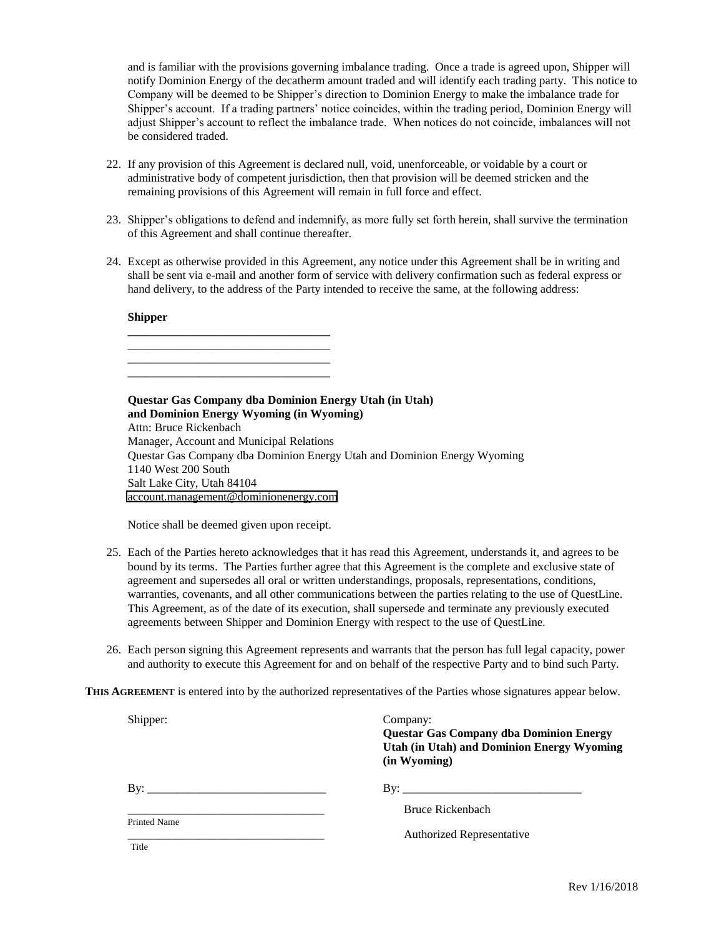and is familiar with the provisions governing imbalance trading. Once a trade is agreed upon, Shipper will notify Dominion Energy of the decatherm amount traded and will identify each trading party. This notice to Company will be deemed to be Shipper's direction to Dominion Energy to make the imbalance trade for Shipper's account. If a trading partners' notice coincides, within the trading period, Dominion Energy will adjust Shipper's account to reflect the imbalance trade. When notices do not coincide, imbalances will not be considered traded.

- 22. If any provision of this Agreement is declared null, void, unenforceable, or voidable by a court or administrative body of competent jurisdiction, then that provision will be deemed stricken and the remaining provisions of this Agreement will remain in full force and effect.
- 23. Shipper's obligations to defend and indemnify, as more fully set forth herein, shall survive the termination of this Agreement and shall continue thereafter.
- 24. Except as otherwise provided in this Agreement, any notice under this Agreement shall be in writing and shall be sent via e-mail and another form of service with delivery confirmation such as federal express or hand delivery, to the address of the Party intended to receive the same, at the following address:

### **Shipper**

\_\_\_\_\_\_\_\_\_\_\_\_\_\_\_\_\_\_\_\_\_\_\_\_\_\_\_\_\_\_\_\_\_\_ \_\_\_\_\_\_\_\_\_\_\_\_\_\_\_\_\_\_\_\_\_\_\_\_\_\_\_\_\_\_\_\_\_\_ **Questar Gas Company dba Dominion Energy Utah (in Utah) and Dominion Energy Wyoming (in Wyoming)** Attn: Bruce Rickenbach

Manager, Account and Municipal Relations Questar Gas Company dba Dominion Energy Utah and Dominion Energy Wyoming 1140 West 200 South Salt Lake City, Utah 84104 [account.management@dominionenergy.com](mailto:account.management@dominionenergy.com)

Notice shall be deemed given upon receipt.

**\_\_\_\_\_\_\_\_\_\_\_\_\_\_\_\_\_\_\_\_\_\_\_\_\_\_\_\_\_\_\_\_\_\_** \_\_\_\_\_\_\_\_\_\_\_\_\_\_\_\_\_\_\_\_\_\_\_\_\_\_\_\_\_\_\_\_\_\_

- 25. Each of the Parties hereto acknowledges that it has read this Agreement, understands it, and agrees to be bound by its terms. The Parties further agree that this Agreement is the complete and exclusive state of agreement and supersedes all oral or written understandings, proposals, representations, conditions, warranties, covenants, and all other communications between the parties relating to the use of QuestLine. This Agreement, as of the date of its execution, shall supersede and terminate any previously executed agreements between Shipper and Dominion Energy with respect to the use of QuestLine.
- 26. Each person signing this Agreement represents and warrants that the person has full legal capacity, power and authority to execute this Agreement for and on behalf of the respective Party and to bind such Party.

**THIS AGREEMENT** is entered into by the authorized representatives of the Parties whose signatures appear below.

| Shipper:                     | Company:<br>Questar Gas Company dba Dominion Energy<br><b>Utah (in Utah) and Dominion Energy Wyoming</b><br>(in Wyoming) |
|------------------------------|--------------------------------------------------------------------------------------------------------------------------|
| Bv:                          |                                                                                                                          |
|                              | Bruce Rickenbach                                                                                                         |
| <b>Printed Name</b><br>Title | Authorized Representative                                                                                                |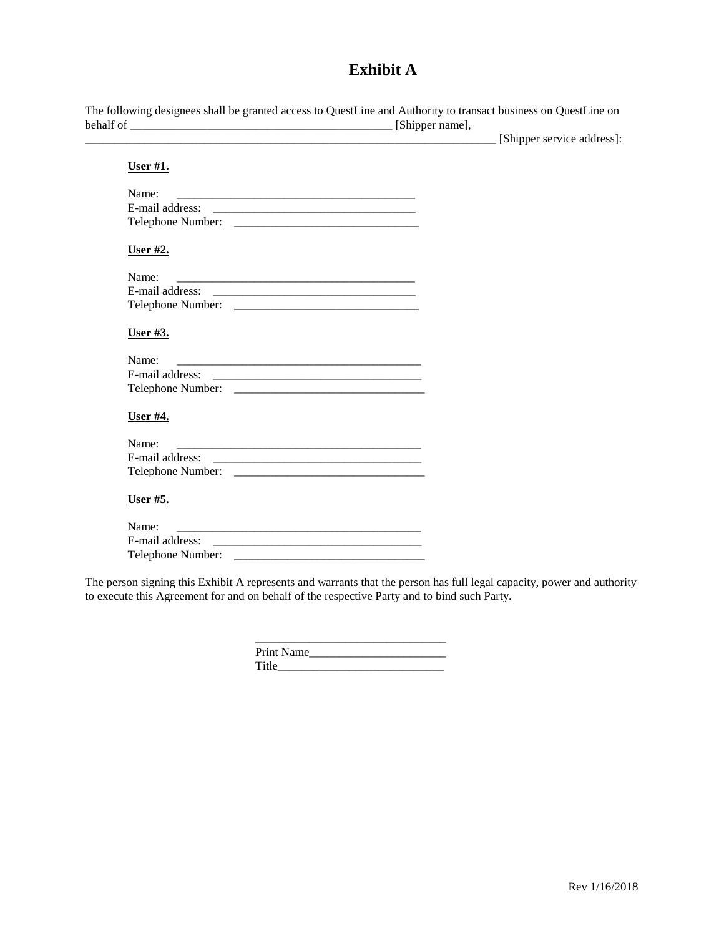# **Exhibit A**

|           | The following designees shall be granted access to QuestLine and Authority to transact business on QuestLine on |
|-----------|-----------------------------------------------------------------------------------------------------------------|
| behalf of | [Shipper name],                                                                                                 |

\_\_\_\_\_\_\_\_\_\_\_\_\_\_\_\_\_\_\_\_\_\_\_\_\_\_\_\_\_\_\_\_\_\_\_\_\_\_\_\_\_\_\_\_\_\_\_\_\_\_\_\_\_\_\_\_\_\_\_\_\_\_\_\_\_\_\_\_\_ [Shipper service address]:

| User $#1$ .                                                       |  |
|-------------------------------------------------------------------|--|
| Name:                                                             |  |
|                                                                   |  |
|                                                                   |  |
| <u>User #2.</u>                                                   |  |
| Name:<br><u> 2008 - Jan Barnett, amerikansk politik (d. 1888)</u> |  |
|                                                                   |  |
|                                                                   |  |
| User $#3$ .                                                       |  |
| Name:                                                             |  |
|                                                                   |  |
|                                                                   |  |
| <u>User #4.</u>                                                   |  |
| Name:                                                             |  |
|                                                                   |  |
|                                                                   |  |
| <u>User #5.</u>                                                   |  |
| Name:                                                             |  |
| E-mail address:                                                   |  |
|                                                                   |  |
|                                                                   |  |

The person signing this Exhibit A represents and warrants that the person has full legal capacity, power and authority to execute this Agreement for and on behalf of the respective Party and to bind such Party.

| <b>Print Name</b> |  |
|-------------------|--|
| Title             |  |